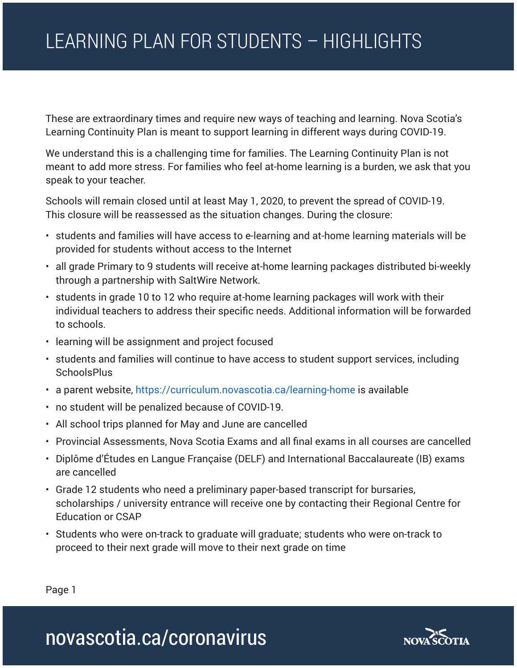## LEARNING PLAN FOR STUDENTS – HIGHLIGHTS

These are extraordinary times and require new ways of teaching and learning. Nova Scotia's Learning Continuity Plan is meant to support learning in different ways during COVID-19.

We understand this is a challenging time for families. The Learning Continuity Plan is not meant to add more stress. For families who feel at-home learning is a burden, we ask that you speak to your teacher.

Schools will remain closed until at least May 1, 2020, to prevent the spread of COVID-19. This closure will be reassessed as the situation changes. During the closure:

- students and families will have access to e-learning and at-home learning materials will be provided for students without access to the Internet
- all grade Primary to 9 students will receive at-home learning packages distributed bi-weekly through a partnership with SaltWire Network.
- students in grade 10 to 12 who require at-home learning packages will work with their individual teachers to address their specific needs. Additional information will be forwarded to schools.
- learning will be assignment and project focused
- students and families will continue to have access to student support services, including **SchoolsPlus**
- a parent website, https://curriculum.novascotia.ca/learning-home is available
- no student will be penalized because of COVID-19.
- All school trips planned for May and June are cancelled
- Provincial Assessments, Nova Scotia Exams and all final exams in all courses are cancelled
- Diplôme d'Études en Langue Française (DELF) and International Baccalaureate (IB) exams are cancelled
- Grade 12 students who need a preliminary paper-based transcript for bursaries, scholarships / university entrance will receive one by contacting their Regional Centre for Education or CSAP
- Students who were on-track to graduate will graduate; students who were on-track to proceed to their next grade will move to their next grade on time

Page 1

## novascotia.ca/coronavirus